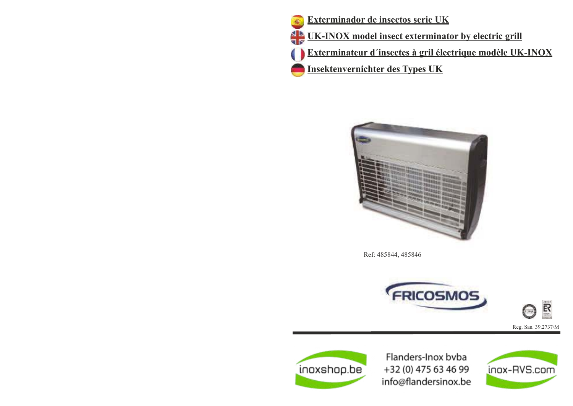



Ref: 485844, 485846







Flanders-Inox byba +32 (0) 475 63 46 99 info@flandersinox.be

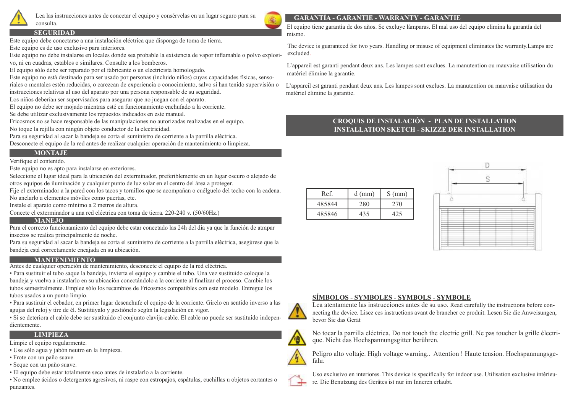

Lea las instrucciones antes de conectar el equipo y consérvelas en un lugar seguro para su consulta.

### **SEGURIDAD**

Este equipo debe conectarse a una instalación eléctrica que disponga de toma de tierra.

Este equipo es de uso exclusivo para interiores.

Este equipo no debe instalarse en locales donde sea probable la existencia de vapor inflamable o polvo explosivo, ni en cuadras, establos o similares. Consulte a los bomberos.

El equipo sólo debe ser reparado por el fabricante o un electricista homologado.

Este equipo no está destinado para ser usado por personas (incluido niños) cuyas capacidades físicas, sensoriales o mentales estén reducidas, o carezcan de experiencia o conocimiento, salvo si han tenido supervisión o instrucciones relativas al uso del aparato por una persona responsable de su seguridad.

Los niños deberían ser supervisados para asegurar que no juegan con el aparato.

El equipo no debe ser mojado mientras esté en funcionamiento enchufado a la corriente.

Se debe utilizar exclusivamente los repuestos indicados en este manual.

Fricosmos no se hace responsable de las manipulaciones no autorizadas realizadas en el equipo. No toque la rejilla con ningún objeto conductor de la electricidad.

Para su seguridad al sacar la bandeja se corta el suministro de corriente a la parrilla eléctrica. Desconecte el equipo de la red antes de realizar cualquier operación de mantenimiento o limpieza.

# **MONTAJE**

Verifique el contenido.

Este equipo no es apto para instalarse en exteriores.

Seleccione el lugar ideal para la ubicación del exterminador, preferiblemente en un lugar oscuro o alejado de otros equipos de iluminación y cualquier punto de luz solar en el centro del área a proteger.

Fije el exterminador a la pared con los tacos y tornillos que se acompañan o cuélguelo del techo con la cadena. No anclarlo a elementos móviles como puertas, etc.

Instale el aparato como mínimo a 2 metros de altura.

Conecte el exterminador a una red eléctrica con toma de tierra. 220-240 v. (50/60Hz.)

#### **MANEJO**

Para el correcto funcionamiento del equipo debe estar conectado las 24h del día ya que la función de atrapar insectos se realiza principalmente de noche.

Para su seguridad al sacar la bandeja se corta el suministro de corriente a la parrilla eléctrica, asegúrese que la bandeja está correctamente encajada en su ubicación.

### **MANTENIMIENTO**

Antes de cualquier operación de mantenimiento, desconecte el equipo de la red eléctrica.

• Para sustituir el tubo saque la bandeja, invierta el equipo y cambie el tubo. Una vez sustituido coloque la bandeja y vuelva a instalarlo en su ubicación conectándolo a la corriente al finalizar el proceso. Cambie los tubos semestralmente. Emplee sólo los recambios de Fricosmos compatibles con este modelo. Entregue los tubos usados a un punto limpio.

• Para sustiruir el cebador, en primer lugar desenchufe el equipo de la corriente. Gírelo en sentido inverso a las agujas del reloj y tire de él. Sustitúyalo y gestiónelo según la legislación en vigor.

• Si se deteriora el cable debe ser sustituido el conjunto clavija-cable. El cable no puede ser sustituido independientemente.

# **LIMPIEZA**

Limpie el equipo regularmente.

- Use sólo agua y jabón neutro en la limpieza.
- Frote con un paño suave.
- Seque con un paño suave.
- El equipo debe estar totalmente seco antes de instalarlo a la corriente.

• No emplee ácidos o detergentes agresivos, ni raspe con estropajos, espátulas, cuchillas u objetos cortantes o punzantes.

# **GARANTÍA - GARANTIE - WARRANTY - GARANTIE**

El equipo tiene garantía de dos años. Se excluye lámparas. El mal uso del equipo elimina la garantía del mismo.

The device is guaranteed for two years. Handling or misuse of equipment eliminates the warranty.Lamps are excluded.

L'appareil est garanti pendant deux ans. Les lampes sont exclues. La manutention ou mauvaise utilisation du matériel élimine la garantie.

L'appareil est garanti pendant deux ans. Les lampes sont exclues. La manutention ou mauvaise utilisation du matériel élimine la garantie.

# **CROQUIS DE INSTALACIÓN - PLAN DE INSTALLATION INSTALLATION SKETCH - SKIZZE DER INSTALLATION**

| Ref.   | $d$ (mm) | $S$ (mm) |
|--------|----------|----------|
| 485844 | 280      | 270      |
| 485846 | 435      |          |





Lea atentamente las instrucciones antes de su uso. Read carefully the instructions before connecting the device. Lisez ces instructions avant de brancher ce produit. Lesen Sie die Anweisungen, bevor Sie das Gerät



No tocar la parrilla eléctrica. Do not touch the electric grill. Ne pas toucher la grille électrique. Nicht das Hochspannungsgitter berühren.



Peligro alto voltaje. High voltage warning.. Attention ! Haute tension. Hochspannungsgefahr.



Uso exclusivo en interiores. This device is specifically for indoor use. Utilisation exclusive intérieure. Die Benutzung des Gerätes ist nur im Inneren erlaubt.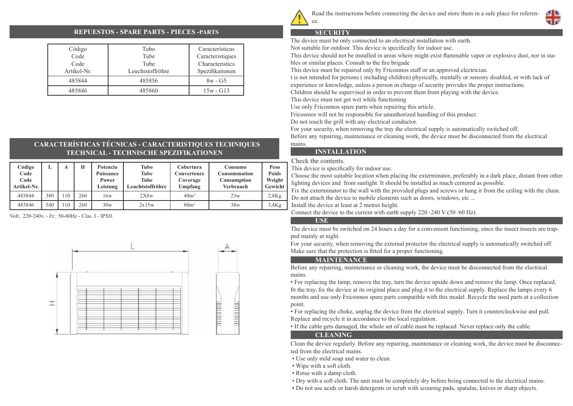

Read the instructions before connecting the device and store them in a safe place for referen-

#### **REPUESTOS - SPARE PARTS - PIECES -PARTS**

| Código<br>Code<br>Code<br>Artikel-Nr. | Tubo<br>Tube<br>Tube<br>Leuchtstoffröhre | Características<br>Caracteristiques<br>Characteristics<br>Spezifikationen |
|---------------------------------------|------------------------------------------|---------------------------------------------------------------------------|
| 485844                                | 485856                                   | $8w - G5$                                                                 |
| 485846                                | 485860                                   | $15w - G13$                                                               |

# **CARACTERÍSTICAS TÉCNICAS - CARACTERISTIQUES TECHNIQUES TECHNICAL - TECHNISCHE SPEZIFIKATIONEN**

| Código<br>Code<br>Code<br>Artikel-Nr. | ≖   | А  | H   | Potencia<br>Puissance<br>Power<br>Leistung | Tubo<br>Tube<br>Tube<br>Leuchtstoffröhre | Cobertura<br>Couvertoure<br>Coverage<br>Umpfang | Consumo<br><b>Consommation</b><br>Consumption<br><b>Verbrauch</b> | Peso<br><b>Poids</b><br>Weight<br>Gewicht |
|---------------------------------------|-----|----|-----|--------------------------------------------|------------------------------------------|-------------------------------------------------|-------------------------------------------------------------------|-------------------------------------------|
| 485844                                | 380 | 10 | 260 | 16w                                        | 2X8w                                     | 40 <sup>m²</sup>                                | 23w                                                               | 2,8Kg                                     |
| 485846                                | 540 | 10 | 260 | 30w                                        | 2x15w                                    | 80m <sup>2</sup>                                | 38w                                                               | 3,4Kg                                     |

Volt.: 220-240v. - Fr.: 50-60Hz - Clas. I - IPX0.



#### **SECURITY**

ce.

The device must be only connected to an electrical installation with earth.

Not suitable for outdoor. This device is specifically for indoor use.

This device should not be installed in areas where might exist flammable vapor or explosive dust, nor in stables or similar places. Consult to the fire brigade

This device must be repaired only by Fricosmos staff or an approved electrician.

t is not intended for persons ( including children) physically, mentally or sensory disabled, or with lack of experience or knowledge, unless a person in charge of security provides the proper instructions.

Children should be supervised in order to prevent them from playing with the device.

This device must not get wet while functioning

Use only Fricosmos spare parts when repairing this article.

Fricosmos will not be responsible for unauthorized handling of this product.

Do not touch the grill with any electrical conductor.

For your security, when removing the tray the electrical supply is automatically switched off.

Before any repairing, maintenance or cleaning work, the device must be disconnected from the electrical mains.

#### **INSTALLATION**

Check the contents.

This device is specifically for indoor use.

Choose the most suitable location when placing the exterminator, preferably in a dark place, distant from other lighting devices and from sunlight. It should be installed as much centered as possible.

Fix the exterminator to the wall with the provided plugs and screws or hang it from the ceiling with the chain. Do not attach the device to mobile elements such as doors, windows, etc ...

Install the device at least at 2 metres height.

Connect the device to the current with earth supply 220 -240 V (50 /60 Hz)

### **USE**

The device must be switched on 24 hours a day for a convenient functioning, since the insect insects are trapped mainly at night.

For your security, when removing the external protector the electrical supply is automatically switched off. Make sure that the protection is fitted for a proper functioning.

#### **MAINTENANCE**

Before any repairing, maintenance or cleaning work, the device must be disconnected from the electrical mains.

• For replacing the lamp, remove the tray, turn the device upside down and remove the lamp. Once replaced, fit the tray, fix the device at its original place and plug it to the electrical supply. Replace the lamps every 6 months and use only Fricosmos spare parts compatible with this model. Recycle the used parts at a collection point.

• For replacing the choke, unplug the device from the electrical supply. Turn it counterclockwise and pull. Replace and recycle it in accordance to the local regulation.

• If the cable gets damaged, the whole set of cable must be replaced. Never replace only the cable.

#### **CLEANING**

Clean the device regularly. Before any repairing, maintenance or cleaning work, the device must be disconnected from the electrical mains.

- Use only mild soap and water to clean.
- Wipe with a soft cloth.
- Rinse with a damp cloth.
- Dry with a soft cloth. The unit must be completely dry before being connected to the electrical mains.
- Do not use acids or harsh detergents or scrub with scouring pads, spatulas, knives or sharp objects.